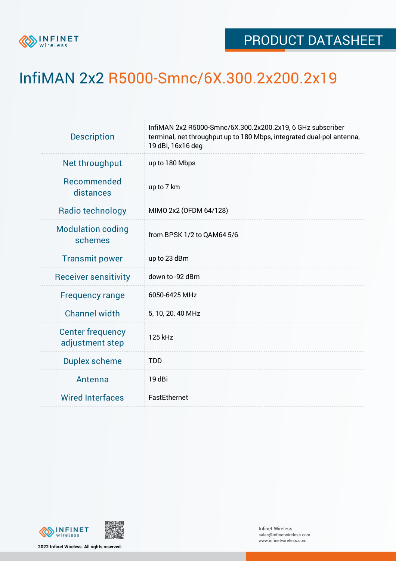

## InfiMAN 2x2 R5000-Smnc/6X.300.2x200.2x19

| <b>Description</b>                         | InfiMAN 2x2 R5000-Smnc/6X.300.2x200.2x19, 6 GHz subscriber<br>terminal, net throughput up to 180 Mbps, integrated dual-pol antenna,<br>19 dBi, 16x16 deg |  |  |  |  |
|--------------------------------------------|----------------------------------------------------------------------------------------------------------------------------------------------------------|--|--|--|--|
| Net throughput                             | up to 180 Mbps                                                                                                                                           |  |  |  |  |
| Recommended<br>distances                   | up to 7 km                                                                                                                                               |  |  |  |  |
| Radio technology                           | MIMO 2x2 (OFDM 64/128)                                                                                                                                   |  |  |  |  |
| <b>Modulation coding</b><br>schemes        | from BPSK 1/2 to QAM64 5/6                                                                                                                               |  |  |  |  |
| <b>Transmit power</b>                      | up to 23 dBm                                                                                                                                             |  |  |  |  |
| <b>Receiver sensitivity</b>                | down to -92 dBm                                                                                                                                          |  |  |  |  |
| <b>Frequency range</b>                     | 6050-6425 MHz                                                                                                                                            |  |  |  |  |
| <b>Channel width</b>                       | 5, 10, 20, 40 MHz                                                                                                                                        |  |  |  |  |
| <b>Center frequency</b><br>adjustment step | 125 kHz                                                                                                                                                  |  |  |  |  |
| <b>Duplex scheme</b>                       | <b>TDD</b>                                                                                                                                               |  |  |  |  |
| Antenna                                    | 19 dBi                                                                                                                                                   |  |  |  |  |
| <b>Wired Interfaces</b>                    | FastEthernet                                                                                                                                             |  |  |  |  |



**2022 Infinet Wireless. All rights reserved.**



Infinet Wireless sales@infinetwireless.com www.infinetwireless.com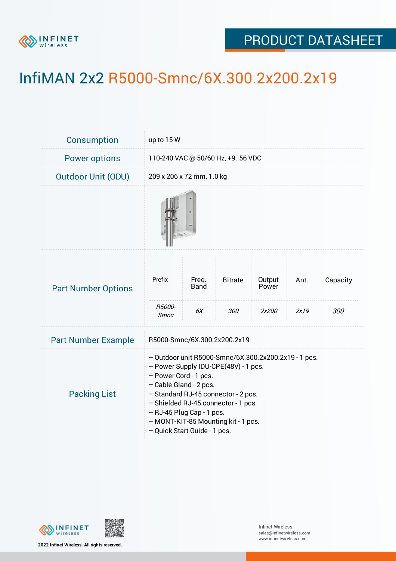

## PRODUCT DATASHEET

## InfiMAN 2x2 R5000-Smnc/6X.300.2x200.2x19

| Consumption                | up to 15 W                                                                                                                                                                                                                                                                                                                        |                            |                       |                          |              |                 |  |  |
|----------------------------|-----------------------------------------------------------------------------------------------------------------------------------------------------------------------------------------------------------------------------------------------------------------------------------------------------------------------------------|----------------------------|-----------------------|--------------------------|--------------|-----------------|--|--|
| <b>Power options</b>       | 110-240 VAC @ 50/60 Hz, +956 VDC                                                                                                                                                                                                                                                                                                  |                            |                       |                          |              |                 |  |  |
| <b>Outdoor Unit (ODU)</b>  | 209 x 206 x 72 mm, 1.0 kg                                                                                                                                                                                                                                                                                                         |                            |                       |                          |              |                 |  |  |
|                            |                                                                                                                                                                                                                                                                                                                                   |                            |                       |                          |              |                 |  |  |
| <b>Part Number Options</b> | Prefix<br>R5000-                                                                                                                                                                                                                                                                                                                  | Freq.<br><b>Band</b><br>6X | <b>Bitrate</b><br>300 | Output<br>Power<br>2x200 | Ant.<br>2x19 | Capacity<br>300 |  |  |
| <b>Part Number Example</b> | <b>Smnc</b><br>R5000-Smnc/6X.300.2x200.2x19                                                                                                                                                                                                                                                                                       |                            |                       |                          |              |                 |  |  |
| <b>Packing List</b>        | - Outdoor unit R5000-Smnc/6X.300.2x200.2x19 - 1 pcs.<br>- Power Supply IDU-CPE(48V) - 1 pcs.<br>- Power Cord - 1 pcs.<br>- Cable Gland - 2 pcs.<br>- Standard RJ-45 connector - 2 pcs.<br>- Shielded RJ-45 connector - 1 pcs.<br>- RJ-45 Plug Cap - 1 pcs.<br>- MONT-KIT-85 Mounting kit - 1 pcs.<br>- Quick Start Guide - 1 pcs. |                            |                       |                          |              |                 |  |  |



**2022 Infinet Wireless. All rights reserved.**

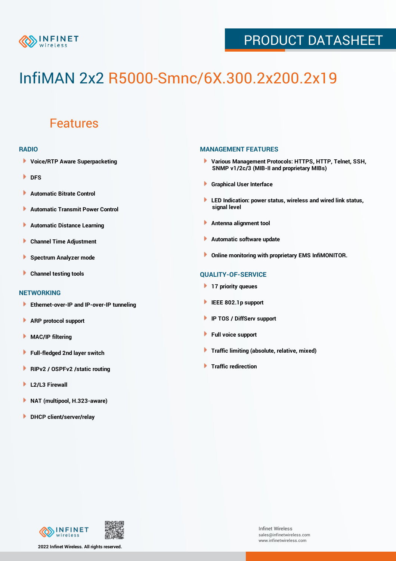

## PRODUCT DATASHEET

# InfiMAN 2x2 R5000-Smnc/6X.300.2x200.2x19

### Features

#### **RADIO**

- **Voice/RTP Aware Superpacketing**
- **DFS**
- **Automatic Bitrate Control** Þ
- Þ **Automatic Transmit Power Control**
- Þ **Automatic Distance Learning**
- Þ **Channel Time Adjustment**
- Þ **Spectrum Analyzer mode**
- Þ **Channel testing tools**

#### **NETWORKING**

- **Ethernet-over-IP and IP-over-IP tunneling**
- Þ **ARP protocol support**
- Þ **MAC/IP filtering**
- Þ **Full-fledged 2nd layer switch**
- Þ **RIPv2 / OSPFv2 /static routing**
- ۱ **L2/L3 Firewall**
- ١ **NAT (multipool, H.323-aware)**
- **DHCP client/server/relay**

#### **MANAGEMENT FEATURES**

- **Various Management Protocols: HTTPS, HTTP, Telnet, SSH, SNMP v1/2c/3 (MIB-II and proprietary MIBs)**
- **Graphical User Interface**
- **LED Indication: power status, wireless and wired link status, signal level**
- **Antenna alignment tool**
- ٠ **Automatic software update**
- **Online monitoring with proprietary EMS InfiMONITOR.**

#### **QUALITY-OF-SERVICE**

- **17 priority queues**
- **IEEE 802.1p support**
- **IP TOS / DiffServ support**
- ٠ **Full voice support**
- **Traffic limiting (absolute, relative, mixed)** ٠
- **Traffic redirection**